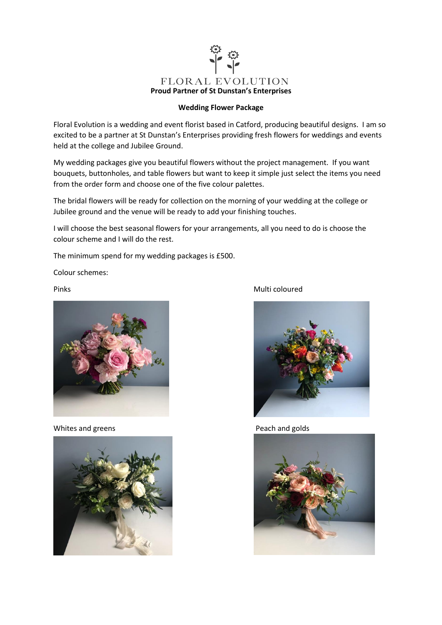

## **Wedding Flower Package**

Floral Evolution is a wedding and event florist based in Catford, producing beautiful designs. I am so excited to be a partner at St Dunstan's Enterprises providing fresh flowers for weddings and events held at the college and Jubilee Ground.

My wedding packages give you beautiful flowers without the project management. If you want bouquets, buttonholes, and table flowers but want to keep it simple just select the items you need from the order form and choose one of the five colour palettes.

The bridal flowers will be ready for collection on the morning of your wedding at the college or Jubilee ground and the venue will be ready to add your finishing touches.

I will choose the best seasonal flowers for your arrangements, all you need to do is choose the colour scheme and I will do the rest.

The minimum spend for my wedding packages is £500.

Colour schemes:



Whites and greens **Peach and golds** 



Pinks **Multi** coloured

![](_page_0_Picture_13.jpeg)

![](_page_0_Picture_15.jpeg)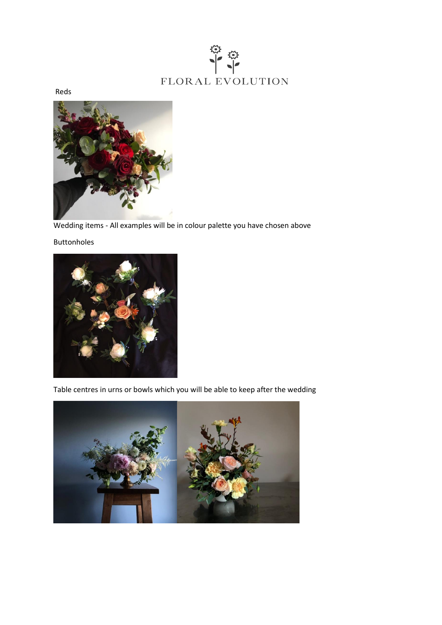![](_page_1_Picture_0.jpeg)

Reds

![](_page_1_Picture_2.jpeg)

Wedding items - All examples will be in colour palette you have chosen above

## Buttonholes

![](_page_1_Picture_5.jpeg)

Table centres in urns or bowls which you will be able to keep after the wedding

![](_page_1_Picture_7.jpeg)